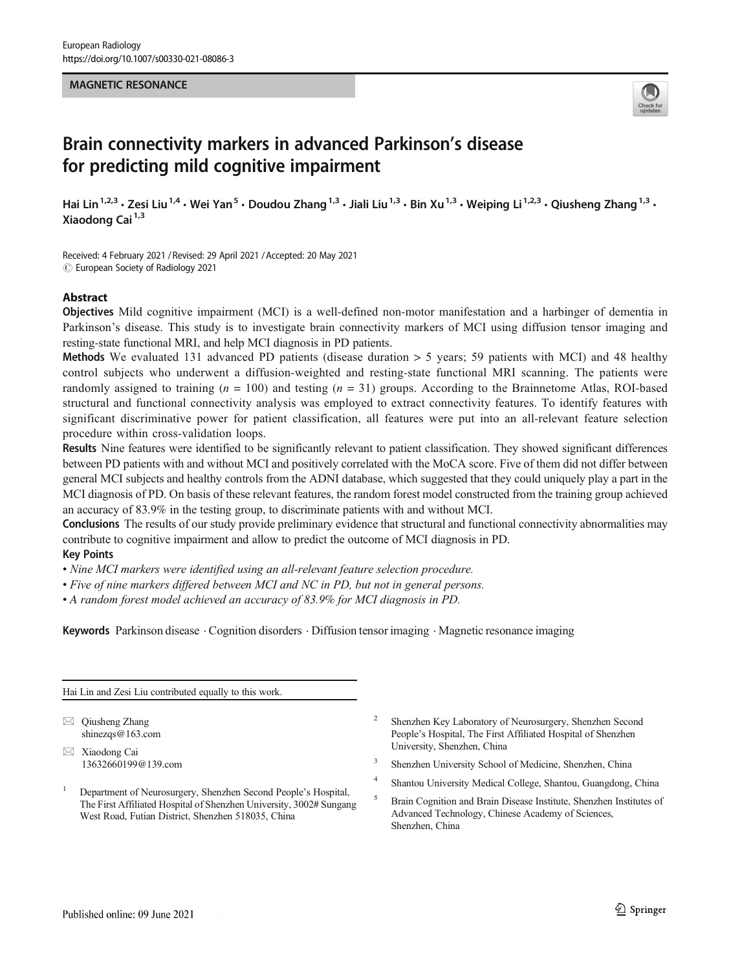## MAGNETIC RESONANCE



# Brain connectivity markers in advanced Parkinson's disease for predicting mild cognitive impairment

Hai Lin<sup>1,2,3</sup> • Zesi Liu<sup>1,4</sup> • Wei Yan<sup>5</sup> • Doudou Zhang<sup>1,3</sup> • Jiali Liu<sup>1,3</sup> • Bin Xu<sup>1,3</sup> • Weiping Li<sup>1,2,3</sup> • Qiusheng Zhang<sup>1,3</sup> • Xiaodong Cai<sup>1,3</sup>

Received: 4 February 2021 / Revised: 29 April 2021 /Accepted: 20 May 2021  $\odot$  European Society of Radiology 2021

## Abstract

Objectives Mild cognitive impairment (MCI) is a well-defined non-motor manifestation and a harbinger of dementia in Parkinson's disease. This study is to investigate brain connectivity markers of MCI using diffusion tensor imaging and resting-state functional MRI, and help MCI diagnosis in PD patients.

Methods We evaluated 131 advanced PD patients (disease duration  $> 5$  years; 59 patients with MCI) and 48 healthy control subjects who underwent a diffusion-weighted and resting-state functional MRI scanning. The patients were randomly assigned to training  $(n = 100)$  and testing  $(n = 31)$  groups. According to the Brainnetome Atlas, ROI-based structural and functional connectivity analysis was employed to extract connectivity features. To identify features with significant discriminative power for patient classification, all features were put into an all-relevant feature selection procedure within cross-validation loops.

Results Nine features were identified to be significantly relevant to patient classification. They showed significant differences between PD patients with and without MCI and positively correlated with the MoCA score. Five of them did not differ between general MCI subjects and healthy controls from the ADNI database, which suggested that they could uniquely play a part in the MCI diagnosis of PD. On basis of these relevant features, the random forest model constructed from the training group achieved an accuracy of 83.9% in the testing group, to discriminate patients with and without MCI.

Conclusions The results of our study provide preliminary evidence that structural and functional connectivity abnormalities may contribute to cognitive impairment and allow to predict the outcome of MCI diagnosis in PD.

# Key Points

• Nine MCI markers were identified using an all-relevant feature selection procedure.

- Five of nine markers differed between MCI and NC in PD, but not in general persons.
- A random forest model achieved an accuracy of 83.9% for MCI diagnosis in PD.

Keywords Parkinson disease . Cognition disorders . Diffusion tensor imaging . Magnetic resonance imaging

Hai Lin and Zesi Liu contributed equally to this work.

 $\boxtimes$  Qiusheng Zhang [shinezqs@163.com](mailto:shinezqs@163.com)

 $\boxtimes$  Xiaodong Cai [13632660199@139.com](mailto:13632660199@139.com)

- <sup>1</sup> Department of Neurosurgery, Shenzhen Second People's Hospital, The First Affiliated Hospital of Shenzhen University, 3002# Sungang West Road, Futian District, Shenzhen 518035, China
- <sup>2</sup> Shenzhen Key Laboratory of Neurosurgery, Shenzhen Second People's Hospital, The First Affiliated Hospital of Shenzhen University, Shenzhen, China
- <sup>3</sup> Shenzhen University School of Medicine, Shenzhen, China
- <sup>4</sup> Shantou University Medical College, Shantou, Guangdong, China
- <sup>5</sup> Brain Cognition and Brain Disease Institute, Shenzhen Institutes of Advanced Technology, Chinese Academy of Sciences, Shenzhen, China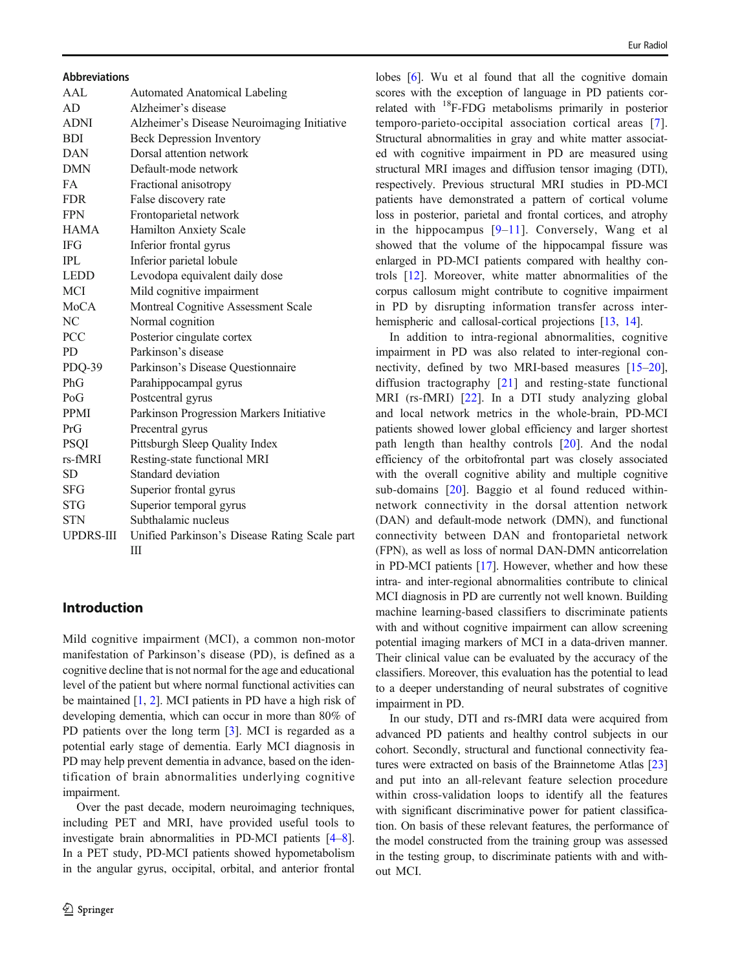#### Abbreviations

| AAI.        | <b>Automated Anatomical Labeling</b>          |
|-------------|-----------------------------------------------|
| AD          | Alzheimer's disease                           |
| <b>ADNI</b> | Alzheimer's Disease Neuroimaging Initiative   |
| <b>BDI</b>  | <b>Beck Depression Inventory</b>              |
| <b>DAN</b>  | Dorsal attention network                      |
| <b>DMN</b>  | Default-mode network                          |
| FA          | Fractional anisotropy                         |
| <b>FDR</b>  | False discovery rate                          |
| <b>FPN</b>  | Frontoparietal network                        |
| <b>HAMA</b> | Hamilton Anxiety Scale                        |
| <b>IFG</b>  | Inferior frontal gyrus                        |
| <b>IPL</b>  | Inferior parietal lobule                      |
| <b>LEDD</b> | Levodopa equivalent daily dose                |
| <b>MCI</b>  | Mild cognitive impairment                     |
| <b>MoCA</b> | Montreal Cognitive Assessment Scale           |
| NC          | Normal cognition                              |
| <b>PCC</b>  | Posterior cingulate cortex                    |
| PD.         | Parkinson's disease                           |
| PDQ-39      | Parkinson's Disease Questionnaire             |
| PhG         | Parahippocampal gyrus                         |
| PoG         | Postcentral gyrus                             |
| <b>PPMI</b> | Parkinson Progression Markers Initiative      |
| PrG         | Precentral gyrus                              |
| <b>PSQI</b> | Pittsburgh Sleep Quality Index                |
| rs-fMRI     | Resting-state functional MRI                  |
| SD          | Standard deviation                            |
| SFG         | Superior frontal gyrus                        |
| <b>STG</b>  | Superior temporal gyrus                       |
| <b>STN</b>  | Subthalamic nucleus                           |
| UPDRS-III   | Unified Parkinson's Disease Rating Scale part |
|             | Ш                                             |

# Introduction

Mild cognitive impairment (MCI), a common non-motor manifestation of Parkinson's disease (PD), is defined as a cognitive decline that is not normal for the age and educational level of the patient but where normal functional activities can be maintained [\[1,](#page-8-0) [2](#page-8-0)]. MCI patients in PD have a high risk of developing dementia, which can occur in more than 80% of PD patients over the long term [[3\]](#page-8-0). MCI is regarded as a potential early stage of dementia. Early MCI diagnosis in PD may help prevent dementia in advance, based on the identification of brain abnormalities underlying cognitive impairment.

Over the past decade, modern neuroimaging techniques, including PET and MRI, have provided useful tools to investigate brain abnormalities in PD-MCI patients [[4](#page-8-0)–[8\]](#page-9-0). In a PET study, PD-MCI patients showed hypometabolism in the angular gyrus, occipital, orbital, and anterior frontal

lobes [\[6\]](#page-9-0). Wu et al found that all the cognitive domain scores with the exception of language in PD patients correlated with 18F-FDG metabolisms primarily in posterior temporo-parieto-occipital association cortical areas [\[7](#page-9-0)]. Structural abnormalities in gray and white matter associated with cognitive impairment in PD are measured using structural MRI images and diffusion tensor imaging (DTI), respectively. Previous structural MRI studies in PD-MCI patients have demonstrated a pattern of cortical volume loss in posterior, parietal and frontal cortices, and atrophy in the hippocampus [[9](#page-9-0)–[11\]](#page-9-0). Conversely, Wang et al showed that the volume of the hippocampal fissure was enlarged in PD-MCI patients compared with healthy controls [\[12](#page-9-0)]. Moreover, white matter abnormalities of the corpus callosum might contribute to cognitive impairment in PD by disrupting information transfer across inter-hemispheric and callosal-cortical projections [\[13,](#page-9-0) [14\]](#page-9-0).

In addition to intra-regional abnormalities, cognitive impairment in PD was also related to inter-regional connectivity, defined by two MRI-based measures [[15](#page-9-0)–[20\]](#page-9-0), diffusion tractography [[21\]](#page-9-0) and resting-state functional MRI (rs-fMRI) [[22](#page-9-0)]. In a DTI study analyzing global and local network metrics in the whole-brain, PD-MCI patients showed lower global efficiency and larger shortest path length than healthy controls [\[20\]](#page-9-0). And the nodal efficiency of the orbitofrontal part was closely associated with the overall cognitive ability and multiple cognitive sub-domains [[20\]](#page-9-0). Baggio et al found reduced withinnetwork connectivity in the dorsal attention network (DAN) and default-mode network (DMN), and functional connectivity between DAN and frontoparietal network (FPN), as well as loss of normal DAN-DMN anticorrelation in PD-MCI patients [\[17](#page-9-0)]. However, whether and how these intra- and inter-regional abnormalities contribute to clinical MCI diagnosis in PD are currently not well known. Building machine learning-based classifiers to discriminate patients with and without cognitive impairment can allow screening potential imaging markers of MCI in a data-driven manner. Their clinical value can be evaluated by the accuracy of the classifiers. Moreover, this evaluation has the potential to lead to a deeper understanding of neural substrates of cognitive impairment in PD.

In our study, DTI and rs-fMRI data were acquired from advanced PD patients and healthy control subjects in our cohort. Secondly, structural and functional connectivity features were extracted on basis of the Brainnetome Atlas [\[23](#page-9-0)] and put into an all-relevant feature selection procedure within cross-validation loops to identify all the features with significant discriminative power for patient classification. On basis of these relevant features, the performance of the model constructed from the training group was assessed in the testing group, to discriminate patients with and without MCI.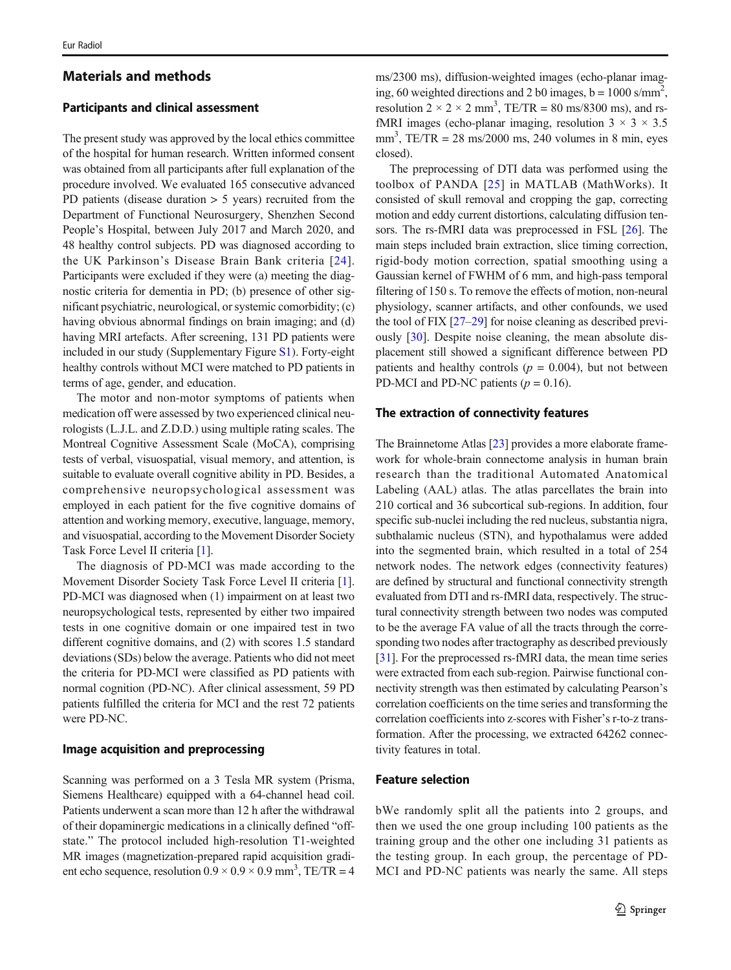## Materials and methods

# Participants and clinical assessment

The present study was approved by the local ethics committee of the hospital for human research. Written informed consent was obtained from all participants after full explanation of the procedure involved. We evaluated 165 consecutive advanced PD patients (disease duration > 5 years) recruited from the Department of Functional Neurosurgery, Shenzhen Second People's Hospital, between July 2017 and March 2020, and 48 healthy control subjects. PD was diagnosed according to the UK Parkinson's Disease Brain Bank criteria [[24](#page-9-0)]. Participants were excluded if they were (a) meeting the diagnostic criteria for dementia in PD; (b) presence of other significant psychiatric, neurological, or systemic comorbidity; (c) having obvious abnormal findings on brain imaging; and (d) having MRI artefacts. After screening, 131 PD patients were included in our study (Supplementary Figure S1). Forty-eight healthy controls without MCI were matched to PD patients in terms of age, gender, and education.

The motor and non-motor symptoms of patients when medication off were assessed by two experienced clinical neurologists (L.J.L. and Z.D.D.) using multiple rating scales. The Montreal Cognitive Assessment Scale (MoCA), comprising tests of verbal, visuospatial, visual memory, and attention, is suitable to evaluate overall cognitive ability in PD. Besides, a comprehensive neuropsychological assessment was employed in each patient for the five cognitive domains of attention and working memory, executive, language, memory, and visuospatial, according to the Movement Disorder Society Task Force Level II criteria [\[1](#page-8-0)].

The diagnosis of PD-MCI was made according to the Movement Disorder Society Task Force Level II criteria [[1\]](#page-8-0). PD-MCI was diagnosed when (1) impairment on at least two neuropsychological tests, represented by either two impaired tests in one cognitive domain or one impaired test in two different cognitive domains, and (2) with scores 1.5 standard deviations (SDs) below the average. Patients who did not meet the criteria for PD-MCI were classified as PD patients with normal cognition (PD-NC). After clinical assessment, 59 PD patients fulfilled the criteria for MCI and the rest 72 patients were PD-NC.

## Image acquisition and preprocessing

Scanning was performed on a 3 Tesla MR system (Prisma, Siemens Healthcare) equipped with a 64-channel head coil. Patients underwent a scan more than 12 h after the withdrawal of their dopaminergic medications in a clinically defined "offstate." The protocol included high-resolution T1-weighted MR images (magnetization-prepared rapid acquisition gradient echo sequence, resolution  $0.9 \times 0.9 \times 0.9$  mm<sup>3</sup>, TE/TR = 4

ms/2300 ms), diffusion-weighted images (echo-planar imaging, 60 weighted directions and 2 b0 images,  $b = 1000 \text{ s/mm}^2$ , resolution  $2 \times 2 \times 2$  mm<sup>3</sup>, TE/TR = 80 ms/8300 ms), and rsfMRI images (echo-planar imaging, resolution  $3 \times 3 \times 3.5$  $mm<sup>3</sup>$ , TE/TR = 28 ms/2000 ms, 240 volumes in 8 min, eyes closed).

The preprocessing of DTI data was performed using the toolbox of PANDA [[25](#page-9-0)] in MATLAB (MathWorks). It consisted of skull removal and cropping the gap, correcting motion and eddy current distortions, calculating diffusion tensors. The rs-fMRI data was preprocessed in FSL [[26\]](#page-9-0). The main steps included brain extraction, slice timing correction, rigid-body motion correction, spatial smoothing using a Gaussian kernel of FWHM of 6 mm, and high-pass temporal filtering of 150 s. To remove the effects of motion, non-neural physiology, scanner artifacts, and other confounds, we used the tool of FIX [[27](#page-9-0)–[29](#page-9-0)] for noise cleaning as described previously [[30\]](#page-9-0). Despite noise cleaning, the mean absolute displacement still showed a significant difference between PD patients and healthy controls ( $p = 0.004$ ), but not between PD-MCI and PD-NC patients ( $p = 0.16$ ).

#### The extraction of connectivity features

The Brainnetome Atlas [[23](#page-9-0)] provides a more elaborate framework for whole-brain connectome analysis in human brain research than the traditional Automated Anatomical Labeling (AAL) atlas. The atlas parcellates the brain into 210 cortical and 36 subcortical sub-regions. In addition, four specific sub-nuclei including the red nucleus, substantia nigra, subthalamic nucleus (STN), and hypothalamus were added into the segmented brain, which resulted in a total of 254 network nodes. The network edges (connectivity features) are defined by structural and functional connectivity strength evaluated from DTI and rs-fMRI data, respectively. The structural connectivity strength between two nodes was computed to be the average FA value of all the tracts through the corresponding two nodes after tractography as described previously [\[31](#page-9-0)]. For the preprocessed rs-fMRI data, the mean time series were extracted from each sub-region. Pairwise functional connectivity strength was then estimated by calculating Pearson's correlation coefficients on the time series and transforming the correlation coefficients into z-scores with Fisher's r-to-z transformation. After the processing, we extracted 64262 connectivity features in total.

#### Feature selection

bWe randomly split all the patients into 2 groups, and then we used the one group including 100 patients as the training group and the other one including 31 patients as the testing group. In each group, the percentage of PD-MCI and PD-NC patients was nearly the same. All steps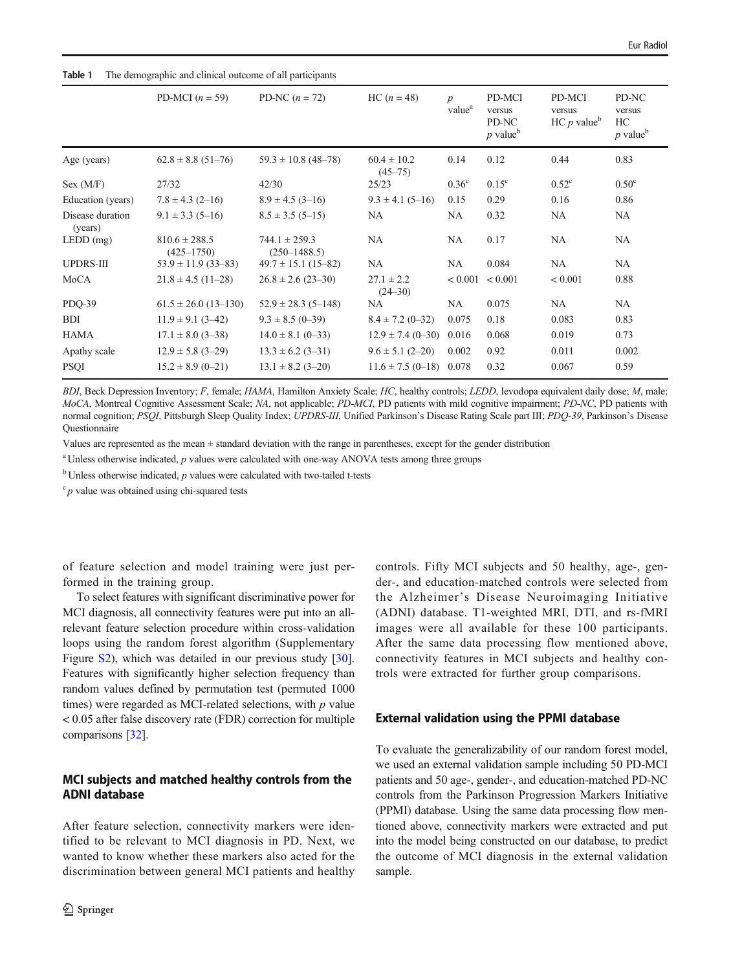| PD-MCI $(n = 59)$                   | PD-NC $(n = 72)$                      | $HC (n = 48)$                  | $\boldsymbol{p}$<br>value <sup>a</sup> | PD-MCI<br>versus<br>PD-NC<br>$p$ value <sup>b</sup> | PD-MCI<br>versus<br>HC p value <sup>b</sup> | PD-NC<br>versus<br>HC<br>$p$ value <sup>b</sup> |
|-------------------------------------|---------------------------------------|--------------------------------|----------------------------------------|-----------------------------------------------------|---------------------------------------------|-------------------------------------------------|
| $62.8 \pm 8.8$ (51-76)              | $59.3 \pm 10.8$ (48-78)               | $60.4 \pm 10.2$<br>$(45 - 75)$ | 0.14                                   | 0.12                                                | 0.44                                        | 0.83                                            |
| 27/32                               | 42/30                                 | 25/23                          | 0.36 <sup>c</sup>                      | $0.15^{\circ}$                                      | $0.52^{\circ}$                              | 0.50 <sup>c</sup>                               |
| $7.8 \pm 4.3$ (2-16)                | $8.9 \pm 4.5$ (3-16)                  | $9.3 \pm 4.1 (5 - 16)$         | 0.15                                   | 0.29                                                | 0.16                                        | 0.86                                            |
| $9.1 \pm 3.3$ (5-16)                | $8.5 \pm 3.5(5 - 15)$                 | NA                             | NA                                     | 0.32                                                | NA.                                         | NA.                                             |
| $810.6 \pm 288.5$<br>$(425 - 1750)$ | $744.1 \pm 259.3$<br>$(250 - 1488.5)$ | NA                             | NA                                     | 0.17                                                | NA                                          | NA.                                             |
| $53.9 \pm 11.9$ (33-83)             | $49.7 \pm 15.1$ (15-82)               | NA                             | NA                                     | 0.084                                               | <b>NA</b>                                   | NA.                                             |
| $21.8 \pm 4.5$ (11-28)              | $26.8 \pm 2.6$ (23-30)                | $27.1 \pm 2.2$<br>$(24 - 30)$  |                                        |                                                     | < 0.001                                     | 0.88                                            |
| $61.5 \pm 26.0$ (13-130)            | $52.9 \pm 28.3$ (5-148)               | NA                             | NA                                     | 0.075                                               | NA                                          | NA                                              |
| $11.9 \pm 9.1$ (3-42)               | $9.3 \pm 8.5$ (0-39)                  | $8.4 \pm 7.2$ (0-32)           | 0.075                                  | 0.18                                                | 0.083                                       | 0.83                                            |
| $17.1 \pm 8.0$ (3-38)               | $14.0 \pm 8.1$ (0-33)                 | $12.9 \pm 7.4(0 - 30)$         | 0.016                                  | 0.068                                               | 0.019                                       | 0.73                                            |
| $12.9 \pm 5.8$ (3-29)               | $13.3 \pm 6.2$ (3-31)                 | $9.6 \pm 5.1$ (2-20)           | 0.002                                  | 0.92                                                | 0.011                                       | 0.002                                           |
| $15.2 \pm 8.9$ (0-21)               | $13.1 \pm 8.2$ (3-20)                 |                                |                                        | 0.32                                                | 0.067                                       | 0.59                                            |
|                                     |                                       |                                |                                        | $11.6 \pm 7.5$ (0-18) 0.078                         | $< 0.001$ $< 0.001$                         |                                                 |

#### <span id="page-3-0"></span>Table 1 The demographic and clinical outcome of all participants

BDI, Beck Depression Inventory; F, female; HAMA, Hamilton Anxiety Scale; HC, healthy controls; LEDD, levodopa equivalent daily dose; M, male; MoCA, Montreal Cognitive Assessment Scale; NA, not applicable; PD-MCI, PD patients with mild cognitive impairment; PD-NC, PD patients with normal cognition; PSQI, Pittsburgh Sleep Quality Index; UPDRS-III, Unified Parkinson's Disease Rating Scale part III; PDQ-39, Parkinson's Disease Questionnaire

Values are represented as the mean ± standard deviation with the range in parentheses, except for the gender distribution

 $a$ Unless otherwise indicated,  $p$  values were calculated with one-way ANOVA tests among three groups

 $<sup>b</sup>$  Unless otherwise indicated,  $p$  values were calculated with two-tailed t-tests</sup>

 $\int_{0}^{\infty} p$  value was obtained using chi-squared tests

of feature selection and model training were just performed in the training group.

To select features with significant discriminative power for MCI diagnosis, all connectivity features were put into an allrelevant feature selection procedure within cross-validation loops using the random forest algorithm (Supplementary Figure S2), which was detailed in our previous study [[30](#page-9-0)]. Features with significantly higher selection frequency than random values defined by permutation test (permuted 1000 times) were regarded as MCI-related selections, with  $p$  value < 0.05 after false discovery rate (FDR) correction for multiple comparisons [[32\]](#page-9-0).

# MCI subjects and matched healthy controls from the ADNI database

After feature selection, connectivity markers were identified to be relevant to MCI diagnosis in PD. Next, we wanted to know whether these markers also acted for the discrimination between general MCI patients and healthy controls. Fifty MCI subjects and 50 healthy, age-, gender-, and education-matched controls were selected from the Alzheimer's Disease Neuroimaging Initiative (ADNI) database. T1-weighted MRI, DTI, and rs-fMRI images were all available for these 100 participants. After the same data processing flow mentioned above, connectivity features in MCI subjects and healthy controls were extracted for further group comparisons.

#### External validation using the PPMI database

To evaluate the generalizability of our random forest model, we used an external validation sample including 50 PD-MCI patients and 50 age-, gender-, and education-matched PD-NC controls from the Parkinson Progression Markers Initiative (PPMI) database. Using the same data processing flow mentioned above, connectivity markers were extracted and put into the model being constructed on our database, to predict the outcome of MCI diagnosis in the external validation sample.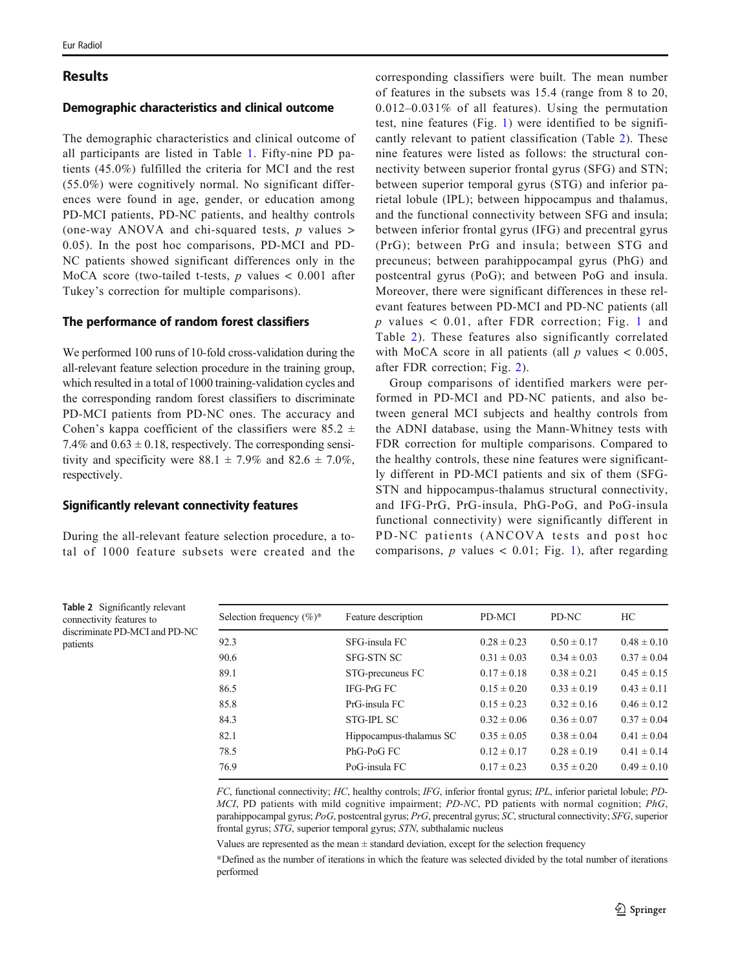# Results

## Demographic characteristics and clinical outcome

The demographic characteristics and clinical outcome of all participants are listed in Table [1](#page-3-0). Fifty-nine PD patients (45.0%) fulfilled the criteria for MCI and the rest (55.0%) were cognitively normal. No significant differences were found in age, gender, or education among PD-MCI patients, PD-NC patients, and healthy controls (one-way ANOVA and chi-squared tests,  $p$  values > 0.05). In the post hoc comparisons, PD-MCI and PD-NC patients showed significant differences only in the MoCA score (two-tailed t-tests,  $p$  values  $< 0.001$  after Tukey's correction for multiple comparisons).

## The performance of random forest classifiers

We performed 100 runs of 10-fold cross-validation during the all-relevant feature selection procedure in the training group, which resulted in a total of 1000 training-validation cycles and the corresponding random forest classifiers to discriminate PD-MCI patients from PD-NC ones. The accuracy and Cohen's kappa coefficient of the classifiers were 85.2  $\pm$ 7.4% and  $0.63 \pm 0.18$ , respectively. The corresponding sensitivity and specificity were  $88.1 \pm 7.9\%$  and  $82.6 \pm 7.0\%$ , respectively.

## Significantly relevant connectivity features

During the all-relevant feature selection procedure, a total of 1000 feature subsets were created and the

corresponding classifiers were built. The mean number of features in the subsets was 15.4 (range from 8 to 20, 0.012–0.031% of all features). Using the permutation test, nine features (Fig. [1](#page-5-0)) were identified to be significantly relevant to patient classification (Table 2). These nine features were listed as follows: the structural connectivity between superior frontal gyrus (SFG) and STN; between superior temporal gyrus (STG) and inferior parietal lobule (IPL); between hippocampus and thalamus, and the functional connectivity between SFG and insula; between inferior frontal gyrus (IFG) and precentral gyrus (PrG); between PrG and insula; between STG and precuneus; between parahippocampal gyrus (PhG) and postcentral gyrus (PoG); and between PoG and insula. Moreover, there were significant differences in these relevant features between PD-MCI and PD-NC patients (all  $p$  values < 0.0[1](#page-5-0), after FDR correction; Fig. 1 and Table 2). These features also significantly correlated with MoCA score in all patients (all  $p$  values  $< 0.005$ , after FDR correction; Fig. [2](#page-6-0)).

Group comparisons of identified markers were performed in PD-MCI and PD-NC patients, and also between general MCI subjects and healthy controls from the ADNI database, using the Mann-Whitney tests with FDR correction for multiple comparisons. Compared to the healthy controls, these nine features were significantly different in PD-MCI patients and six of them (SFG-STN and hippocampus-thalamus structural connectivity, and IFG-PrG, PrG-insula, PhG-PoG, and PoG-insula functional connectivity) were significantly different in PD-NC patients (ANCOVA tests and post hoc comparisons,  $p$  values  $< 0.01$ ; Fig. [1\)](#page-5-0), after regarding

Table 2 Significantly relevant connectivity features to discriminate PD-MCI and PD-NC patients

| Selection frequency $(\%)^*$ | Feature description     | PD-MCI          | PD-NC           | HC.             |
|------------------------------|-------------------------|-----------------|-----------------|-----------------|
| 92.3                         | SFG-insula FC           | $0.28 \pm 0.23$ | $0.50 \pm 0.17$ | $0.48 \pm 0.10$ |
| 90.6                         | <b>SFG-STN SC</b>       | $0.31 \pm 0.03$ | $0.34 \pm 0.03$ | $0.37 \pm 0.04$ |
| 89.1                         | STG-precuneus FC        | $0.17 \pm 0.18$ | $0.38 \pm 0.21$ | $0.45 \pm 0.15$ |
| 86.5                         | IFG-PrG FC              | $0.15 \pm 0.20$ | $0.33 \pm 0.19$ | $0.43 \pm 0.11$ |
| 85.8                         | PrG-insula FC           | $0.15 \pm 0.23$ | $0.32 \pm 0.16$ | $0.46 \pm 0.12$ |
| 84.3                         | STG-IPL SC              | $0.32 \pm 0.06$ | $0.36 \pm 0.07$ | $0.37 \pm 0.04$ |
| 82.1                         | Hippocampus-thalamus SC | $0.35 \pm 0.05$ | $0.38 \pm 0.04$ | $0.41 \pm 0.04$ |
| 78.5                         | PhG-PoG FC              | $0.12 \pm 0.17$ | $0.28 \pm 0.19$ | $0.41 \pm 0.14$ |
| 76.9                         | PoG-insula FC           | $0.17 \pm 0.23$ | $0.35 \pm 0.20$ | $0.49 \pm 0.10$ |

FC, functional connectivity; HC, healthy controls; IFG, inferior frontal gyrus; IPL, inferior parietal lobule; PD-MCI, PD patients with mild cognitive impairment; PD-NC, PD patients with normal cognition; PhG, parahippocampal gyrus; PoG, postcentral gyrus; PrG, precentral gyrus; SC, structural connectivity; SFG, superior frontal gyrus; STG, superior temporal gyrus; STN, subthalamic nucleus

Values are represented as the mean  $\pm$  standard deviation, except for the selection frequency

\*Defined as the number of iterations in which the feature was selected divided by the total number of iterations performed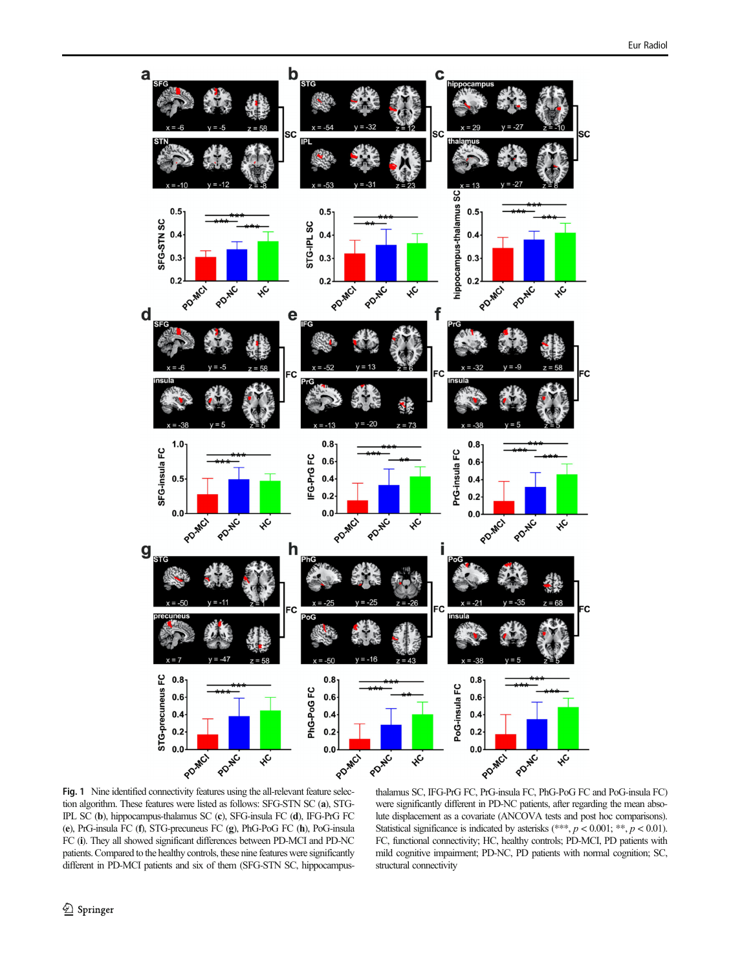<span id="page-5-0"></span>

Fig. 1 Nine identified connectivity features using the all-relevant feature selection algorithm. These features were listed as follows: SFG-STN SC (a), STG-IPL SC (b), hippocampus-thalamus SC (c), SFG-insula FC (d), IFG-PrG FC (e), PrG-insula FC (f), STG-precuneus FC (g), PhG-PoG FC (h), PoG-insula FC (i). They all showed significant differences between PD-MCI and PD-NC patients. Compared to the healthy controls, these nine features were significantly different in PD-MCI patients and six of them (SFG-STN SC, hippocampus-

thalamus SC, IFG-PrG FC, PrG-insula FC, PhG-PoG FC and PoG-insula FC) were significantly different in PD-NC patients, after regarding the mean absolute displacement as a covariate (ANCOVA tests and post hoc comparisons). Statistical significance is indicated by asterisks (\*\*\*,  $p < 0.001$ ; \*\*,  $p < 0.01$ ). FC, functional connectivity; HC, healthy controls; PD-MCI, PD patients with mild cognitive impairment; PD-NC, PD patients with normal cognition; SC, structural connectivity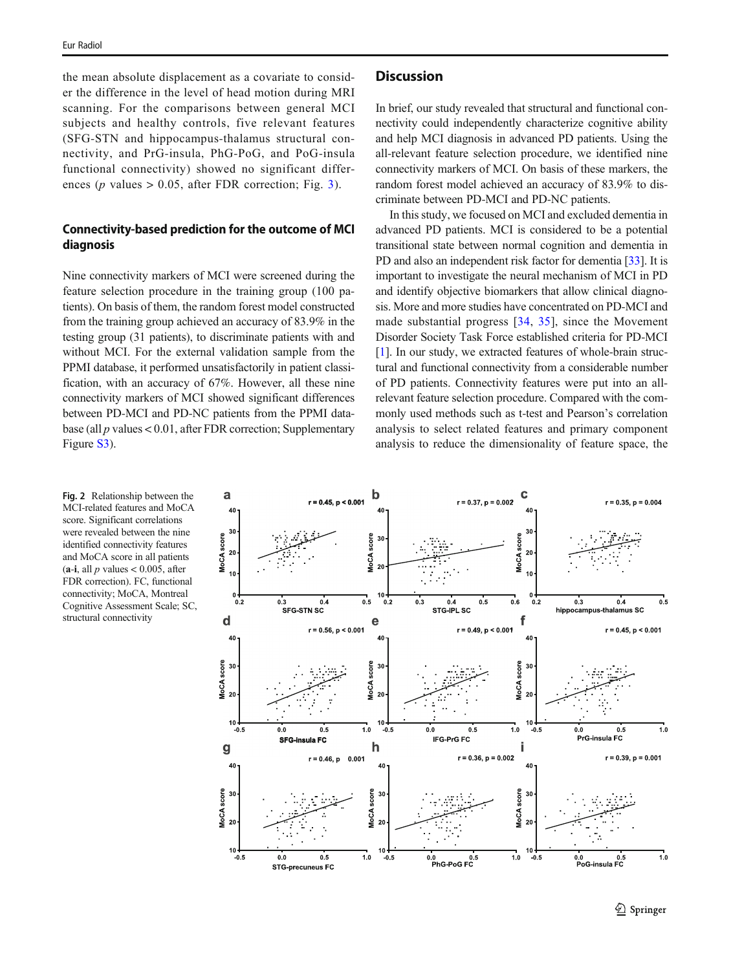<span id="page-6-0"></span>the mean absolute displacement as a covariate to consider the difference in the level of head motion during MRI scanning. For the comparisons between general MCI subjects and healthy controls, five relevant features (SFG-STN and hippocampus-thalamus structural connectivity, and PrG-insula, PhG-PoG, and PoG-insula functional connectivity) showed no significant differences ( $p$  values  $> 0.05$ , after FDR correction; Fig. [3\)](#page-7-0).

# Connectivity-based prediction for the outcome of MCI diagnosis

Nine connectivity markers of MCI were screened during the feature selection procedure in the training group (100 patients). On basis of them, the random forest model constructed from the training group achieved an accuracy of 83.9% in the testing group (31 patients), to discriminate patients with and without MCI. For the external validation sample from the PPMI database, it performed unsatisfactorily in patient classification, with an accuracy of 67%. However, all these nine connectivity markers of MCI showed significant differences between PD-MCI and PD-NC patients from the PPMI database (all  $p$  values < 0.01, after FDR correction; Supplementary Figure S3).

#### Fig. 2 Relationship between the MCI-related features and MoCA score. Significant correlations were revealed between the nine identified connectivity features and MoCA score in all patients  $(a-i, all p values < 0.005, after$ FDR correction). FC, functional connectivity; MoCA, Montreal Cognitive Assessment Scale; SC, structural connectivity

# **Discussion**

In brief, our study revealed that structural and functional connectivity could independently characterize cognitive ability and help MCI diagnosis in advanced PD patients. Using the all-relevant feature selection procedure, we identified nine connectivity markers of MCI. On basis of these markers, the random forest model achieved an accuracy of 83.9% to discriminate between PD-MCI and PD-NC patients.

In this study, we focused on MCI and excluded dementia in advanced PD patients. MCI is considered to be a potential transitional state between normal cognition and dementia in PD and also an independent risk factor for dementia [\[33\]](#page-9-0). It is important to investigate the neural mechanism of MCI in PD and identify objective biomarkers that allow clinical diagnosis. More and more studies have concentrated on PD-MCI and made substantial progress [[34](#page-9-0), [35\]](#page-9-0), since the Movement Disorder Society Task Force established criteria for PD-MCI [\[1](#page-8-0)]. In our study, we extracted features of whole-brain structural and functional connectivity from a considerable number of PD patients. Connectivity features were put into an allrelevant feature selection procedure. Compared with the commonly used methods such as t-test and Pearson's correlation analysis to select related features and primary component analysis to reduce the dimensionality of feature space, the

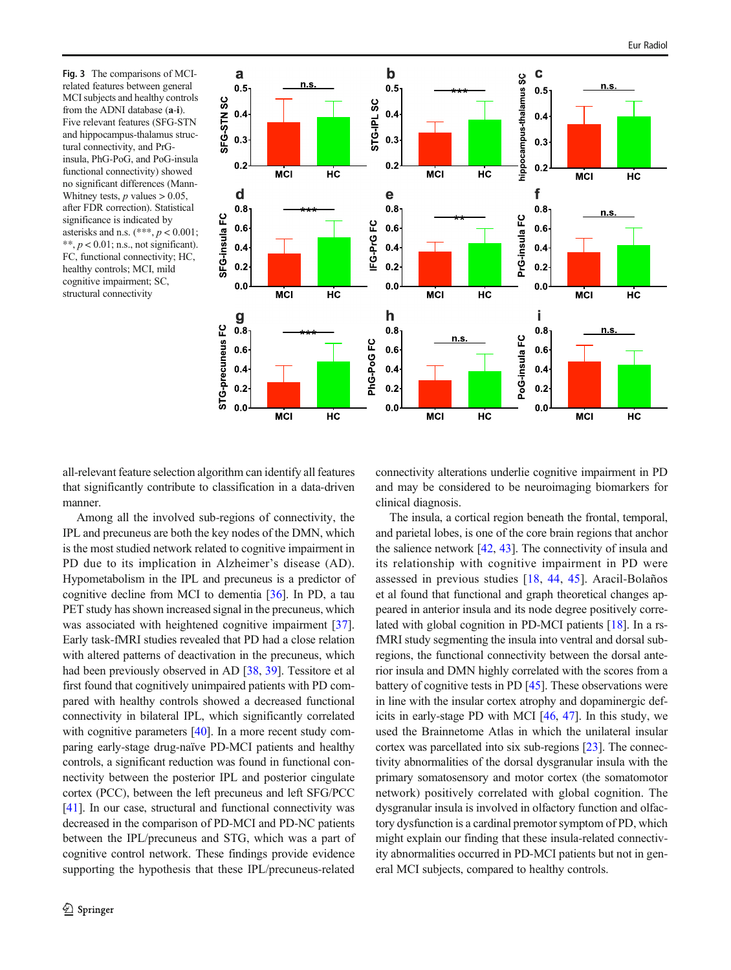<span id="page-7-0"></span>Fig. 3 The comparisons of MCIrelated features between general MCI subjects and healthy controls from the ADNI database (a-i). Five relevant features (SFG-STN and hippocampus-thalamus structural connectivity, and PrGinsula, PhG-PoG, and PoG-insula functional connectivity) showed no significant differences (Mann-Whitney tests,  $p$  values  $> 0.05$ , after FDR correction). Statistical significance is indicated by asterisks and n.s.  $(***, p < 0.001;$  $**, p < 0.01; n.s.,$  not significant). FC, functional connectivity; HC, healthy controls; MCI, mild cognitive impairment; SC, structural connectivity



all-relevant feature selection algorithm can identify all features that significantly contribute to classification in a data-driven manner.

connectivity alterations underlie cognitive impairment in PD and may be considered to be neuroimaging biomarkers for clinical diagnosis.

Among all the involved sub-regions of connectivity, the IPL and precuneus are both the key nodes of the DMN, which is the most studied network related to cognitive impairment in PD due to its implication in Alzheimer's disease (AD). Hypometabolism in the IPL and precuneus is a predictor of cognitive decline from MCI to dementia [\[36\]](#page-9-0). In PD, a tau PET study has shown increased signal in the precuneus, which was associated with heightened cognitive impairment [[37](#page-9-0)]. Early task-fMRI studies revealed that PD had a close relation with altered patterns of deactivation in the precuneus, which had been previously observed in AD [\[38,](#page-9-0) [39\]](#page-9-0). Tessitore et al first found that cognitively unimpaired patients with PD compared with healthy controls showed a decreased functional connectivity in bilateral IPL, which significantly correlated with cognitive parameters [[40](#page-9-0)]. In a more recent study comparing early-stage drug-naïve PD-MCI patients and healthy controls, a significant reduction was found in functional connectivity between the posterior IPL and posterior cingulate cortex (PCC), between the left precuneus and left SFG/PCC [\[41\]](#page-9-0). In our case, structural and functional connectivity was decreased in the comparison of PD-MCI and PD-NC patients between the IPL/precuneus and STG, which was a part of cognitive control network. These findings provide evidence supporting the hypothesis that these IPL/precuneus-related

The insula, a cortical region beneath the frontal, temporal, and parietal lobes, is one of the core brain regions that anchor the salience network  $[42, 43]$  $[42, 43]$  $[42, 43]$ . The connectivity of insula and its relationship with cognitive impairment in PD were assessed in previous studies [[18,](#page-9-0) [44](#page-9-0), [45](#page-9-0)]. Aracil-Bolaños et al found that functional and graph theoretical changes appeared in anterior insula and its node degree positively correlated with global cognition in PD-MCI patients [[18\]](#page-9-0). In a rsfMRI study segmenting the insula into ventral and dorsal subregions, the functional connectivity between the dorsal anterior insula and DMN highly correlated with the scores from a battery of cognitive tests in PD [\[45\]](#page-9-0). These observations were in line with the insular cortex atrophy and dopaminergic deficits in early-stage PD with MCI [\[46,](#page-9-0) [47](#page-10-0)]. In this study, we used the Brainnetome Atlas in which the unilateral insular cortex was parcellated into six sub-regions [[23\]](#page-9-0). The connectivity abnormalities of the dorsal dysgranular insula with the primary somatosensory and motor cortex (the somatomotor network) positively correlated with global cognition. The dysgranular insula is involved in olfactory function and olfactory dysfunction is a cardinal premotor symptom of PD, which might explain our finding that these insula-related connectivity abnormalities occurred in PD-MCI patients but not in general MCI subjects, compared to healthy controls.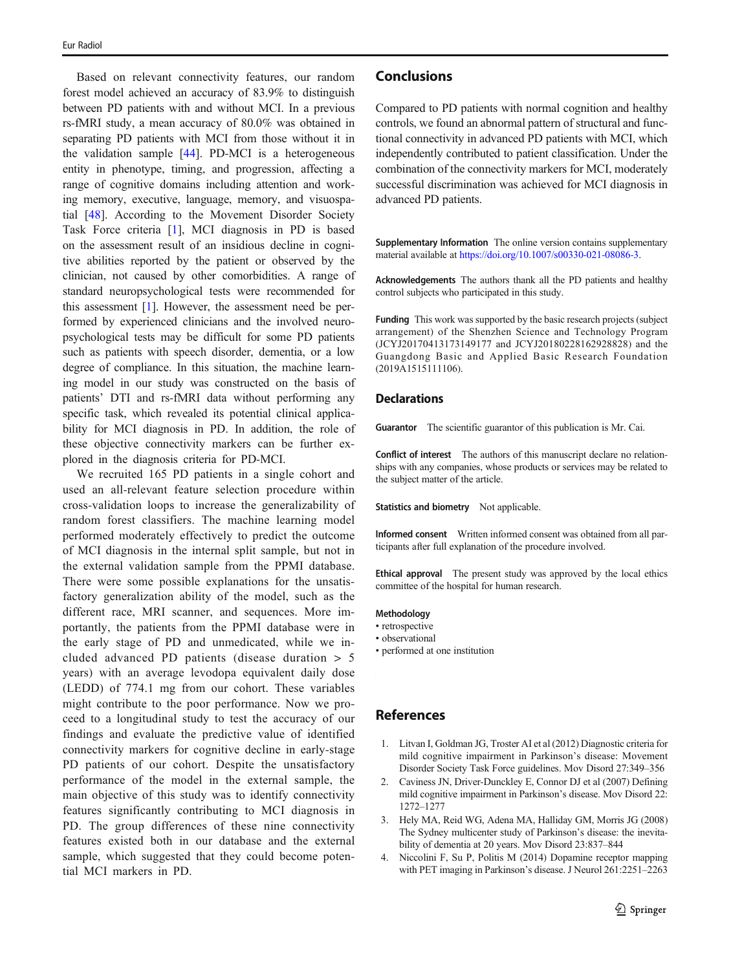<span id="page-8-0"></span>Based on relevant connectivity features, our random forest model achieved an accuracy of 83.9% to distinguish between PD patients with and without MCI. In a previous rs-fMRI study, a mean accuracy of 80.0% was obtained in separating PD patients with MCI from those without it in the validation sample [[44](#page-9-0)]. PD-MCI is a heterogeneous entity in phenotype, timing, and progression, affecting a range of cognitive domains including attention and working memory, executive, language, memory, and visuospatial [\[48](#page-10-0)]. According to the Movement Disorder Society Task Force criteria [1], MCI diagnosis in PD is based on the assessment result of an insidious decline in cognitive abilities reported by the patient or observed by the clinician, not caused by other comorbidities. A range of standard neuropsychological tests were recommended for this assessment [1]. However, the assessment need be performed by experienced clinicians and the involved neuropsychological tests may be difficult for some PD patients such as patients with speech disorder, dementia, or a low degree of compliance. In this situation, the machine learning model in our study was constructed on the basis of patients' DTI and rs-fMRI data without performing any specific task, which revealed its potential clinical applicability for MCI diagnosis in PD. In addition, the role of these objective connectivity markers can be further explored in the diagnosis criteria for PD-MCI.

We recruited 165 PD patients in a single cohort and used an all-relevant feature selection procedure within cross-validation loops to increase the generalizability of random forest classifiers. The machine learning model performed moderately effectively to predict the outcome of MCI diagnosis in the internal split sample, but not in the external validation sample from the PPMI database. There were some possible explanations for the unsatisfactory generalization ability of the model, such as the different race, MRI scanner, and sequences. More importantly, the patients from the PPMI database were in the early stage of PD and unmedicated, while we included advanced PD patients (disease duration > 5 years) with an average levodopa equivalent daily dose (LEDD) of 774.1 mg from our cohort. These variables might contribute to the poor performance. Now we proceed to a longitudinal study to test the accuracy of our findings and evaluate the predictive value of identified connectivity markers for cognitive decline in early-stage PD patients of our cohort. Despite the unsatisfactory performance of the model in the external sample, the main objective of this study was to identify connectivity features significantly contributing to MCI diagnosis in PD. The group differences of these nine connectivity features existed both in our database and the external sample, which suggested that they could become potential MCI markers in PD.

# Conclusions

Compared to PD patients with normal cognition and healthy controls, we found an abnormal pattern of structural and functional connectivity in advanced PD patients with MCI, which independently contributed to patient classification. Under the combination of the connectivity markers for MCI, moderately successful discrimination was achieved for MCI diagnosis in advanced PD patients.

Supplementary Information The online version contains supplementary material available at [https://doi.org/10.1007/s00330-021-08086-3.](https://doi.org/10.1007/s00330-021-08086-3)

Acknowledgements The authors thank all the PD patients and healthy control subjects who participated in this study.

Funding This work was supported by the basic research projects (subject arrangement) of the Shenzhen Science and Technology Program (JCYJ20170413173149177 and JCYJ20180228162928828) and the Guangdong Basic and Applied Basic Research Foundation (2019A1515111106).

#### **Declarations**

Guarantor The scientific guarantor of this publication is Mr. Cai.

Conflict of interest The authors of this manuscript declare no relationships with any companies, whose products or services may be related to the subject matter of the article.

Statistics and biometry Not applicable.

Informed consent Written informed consent was obtained from all participants after full explanation of the procedure involved.

Ethical approval The present study was approved by the local ethics committee of the hospital for human research.

#### Methodology

- retrospective
- observational
- performed at one institution

## References

- 1. Litvan I, Goldman JG, Troster AI et al (2012) Diagnostic criteria for mild cognitive impairment in Parkinson's disease: Movement Disorder Society Task Force guidelines. Mov Disord 27:349–356
- 2. Caviness JN, Driver-Dunckley E, Connor DJ et al (2007) Defining mild cognitive impairment in Parkinson's disease. Mov Disord 22: 1272–1277
- 3. Hely MA, Reid WG, Adena MA, Halliday GM, Morris JG (2008) The Sydney multicenter study of Parkinson's disease: the inevitability of dementia at 20 years. Mov Disord 23:837–844
- 4. Niccolini F, Su P, Politis M (2014) Dopamine receptor mapping with PET imaging in Parkinson's disease. J Neurol 261:2251–2263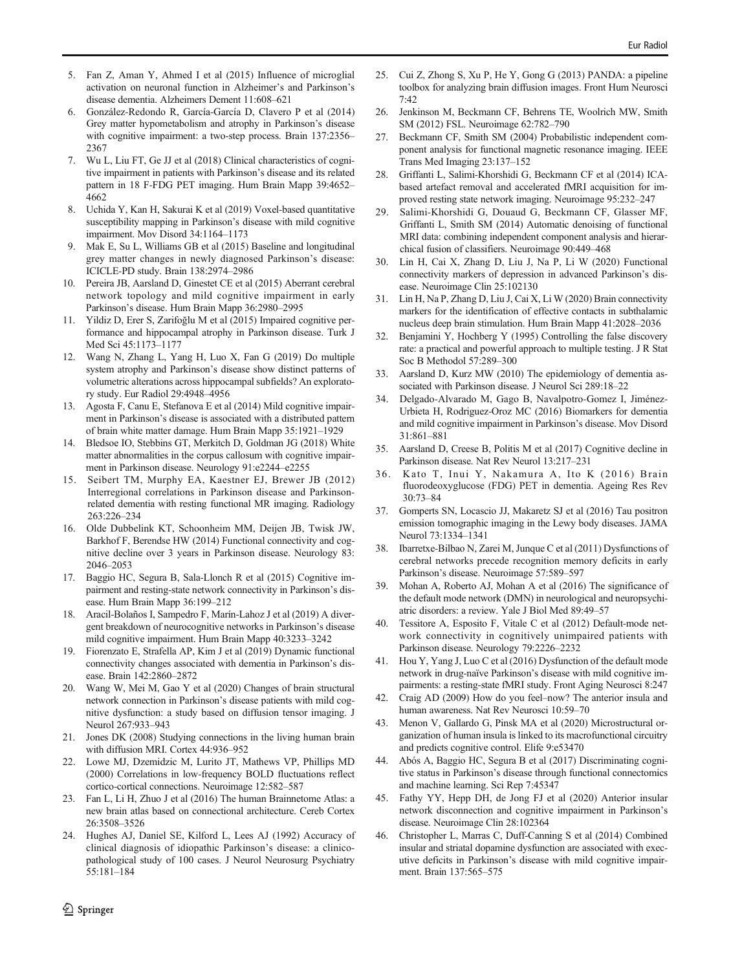- <span id="page-9-0"></span>5. Fan Z, Aman Y, Ahmed I et al (2015) Influence of microglial activation on neuronal function in Alzheimer's and Parkinson's disease dementia. Alzheimers Dement 11:608–621
- 6. González-Redondo R, García-García D, Clavero P et al (2014) Grey matter hypometabolism and atrophy in Parkinson's disease with cognitive impairment: a two-step process. Brain 137:2356– 2367
- 7. Wu L, Liu FT, Ge JJ et al (2018) Clinical characteristics of cognitive impairment in patients with Parkinson's disease and its related pattern in 18 F-FDG PET imaging. Hum Brain Mapp 39:4652– 4662
- 8. Uchida Y, Kan H, Sakurai K et al (2019) Voxel-based quantitative susceptibility mapping in Parkinson's disease with mild cognitive impairment. Mov Disord 34:1164–1173
- 9. Mak E, Su L, Williams GB et al (2015) Baseline and longitudinal grey matter changes in newly diagnosed Parkinson's disease: ICICLE-PD study. Brain 138:2974–2986
- 10. Pereira JB, Aarsland D, Ginestet CE et al (2015) Aberrant cerebral network topology and mild cognitive impairment in early Parkinson's disease. Hum Brain Mapp 36:2980–2995
- 11. Yildiz D, Erer S, Zarifoğlu M et al (2015) Impaired cognitive performance and hippocampal atrophy in Parkinson disease. Turk J Med Sci 45:1173–1177
- 12. Wang N, Zhang L, Yang H, Luo X, Fan G (2019) Do multiple system atrophy and Parkinson's disease show distinct patterns of volumetric alterations across hippocampal subfields? An exploratory study. Eur Radiol 29:4948–4956
- 13. Agosta F, Canu E, Stefanova E et al (2014) Mild cognitive impairment in Parkinson's disease is associated with a distributed pattern of brain white matter damage. Hum Brain Mapp 35:1921–1929
- 14. Bledsoe IO, Stebbins GT, Merkitch D, Goldman JG (2018) White matter abnormalities in the corpus callosum with cognitive impairment in Parkinson disease. Neurology 91:e2244–e2255
- 15. Seibert TM, Murphy EA, Kaestner EJ, Brewer JB (2012) Interregional correlations in Parkinson disease and Parkinsonrelated dementia with resting functional MR imaging. Radiology 263:226–234
- 16. Olde Dubbelink KT, Schoonheim MM, Deijen JB, Twisk JW, Barkhof F, Berendse HW (2014) Functional connectivity and cognitive decline over 3 years in Parkinson disease. Neurology 83: 2046–2053
- 17. Baggio HC, Segura B, Sala-Llonch R et al (2015) Cognitive impairment and resting-state network connectivity in Parkinson's disease. Hum Brain Mapp 36:199–212
- 18. Aracil-Bolaños I, Sampedro F, Marín-Lahoz J et al (2019) A divergent breakdown of neurocognitive networks in Parkinson's disease mild cognitive impairment. Hum Brain Mapp 40:3233–3242
- 19. Fiorenzato E, Strafella AP, Kim J et al (2019) Dynamic functional connectivity changes associated with dementia in Parkinson's disease. Brain 142:2860–2872
- 20. Wang W, Mei M, Gao Y et al (2020) Changes of brain structural network connection in Parkinson's disease patients with mild cognitive dysfunction: a study based on diffusion tensor imaging. J Neurol 267:933–943
- 21. Jones DK (2008) Studying connections in the living human brain with diffusion MRI. Cortex 44:936–952
- 22. Lowe MJ, Dzemidzic M, Lurito JT, Mathews VP, Phillips MD (2000) Correlations in low-frequency BOLD fluctuations reflect cortico-cortical connections. Neuroimage 12:582–587
- 23. Fan L, Li H, Zhuo J et al (2016) The human Brainnetome Atlas: a new brain atlas based on connectional architecture. Cereb Cortex 26:3508–3526
- 24. Hughes AJ, Daniel SE, Kilford L, Lees AJ (1992) Accuracy of clinical diagnosis of idiopathic Parkinson's disease: a clinicopathological study of 100 cases. J Neurol Neurosurg Psychiatry 55:181–184
- 25. Cui Z, Zhong S, Xu P, He Y, Gong G (2013) PANDA: a pipeline toolbox for analyzing brain diffusion images. Front Hum Neurosci 7:42
- 26. Jenkinson M, Beckmann CF, Behrens TE, Woolrich MW, Smith SM (2012) FSL. Neuroimage 62:782–790
- 27. Beckmann CF, Smith SM (2004) Probabilistic independent component analysis for functional magnetic resonance imaging. IEEE Trans Med Imaging 23:137–152
- 28. Griffanti L, Salimi-Khorshidi G, Beckmann CF et al (2014) ICAbased artefact removal and accelerated fMRI acquisition for improved resting state network imaging. Neuroimage 95:232–247
- 29. Salimi-Khorshidi G, Douaud G, Beckmann CF, Glasser MF, Griffanti L, Smith SM (2014) Automatic denoising of functional MRI data: combining independent component analysis and hierarchical fusion of classifiers. Neuroimage 90:449–468
- 30. Lin H, Cai X, Zhang D, Liu J, Na P, Li W (2020) Functional connectivity markers of depression in advanced Parkinson's disease. Neuroimage Clin 25:102130
- 31. Lin H, Na P, Zhang D, Liu J, Cai X, Li W (2020) Brain connectivity markers for the identification of effective contacts in subthalamic nucleus deep brain stimulation. Hum Brain Mapp 41:2028–2036
- 32. Benjamini Y, Hochberg Y (1995) Controlling the false discovery rate: a practical and powerful approach to multiple testing. J R Stat Soc B Methodol 57:289–300
- 33. Aarsland D, Kurz MW (2010) The epidemiology of dementia associated with Parkinson disease. J Neurol Sci 289:18–22
- 34. Delgado-Alvarado M, Gago B, Navalpotro-Gomez I, Jiménez-Urbieta H, Rodriguez-Oroz MC (2016) Biomarkers for dementia and mild cognitive impairment in Parkinson's disease. Mov Disord 31:861–881
- 35. Aarsland D, Creese B, Politis M et al (2017) Cognitive decline in Parkinson disease. Nat Rev Neurol 13:217–231
- 36. Kato T, Inui Y, Nakamura A, Ito K (2016) Brain fluorodeoxyglucose (FDG) PET in dementia. Ageing Res Rev 30:73–84
- 37. Gomperts SN, Locascio JJ, Makaretz SJ et al (2016) Tau positron emission tomographic imaging in the Lewy body diseases. JAMA Neurol 73:1334–1341
- 38. Ibarretxe-Bilbao N, Zarei M, Junque C et al (2011) Dysfunctions of cerebral networks precede recognition memory deficits in early Parkinson's disease. Neuroimage 57:589–597
- 39. Mohan A, Roberto AJ, Mohan A et al (2016) The significance of the default mode network (DMN) in neurological and neuropsychiatric disorders: a review. Yale J Biol Med 89:49–57
- Tessitore A, Esposito F, Vitale C et al (2012) Default-mode network connectivity in cognitively unimpaired patients with Parkinson disease. Neurology 79:2226–2232
- 41. Hou Y, Yang J, Luo C et al (2016) Dysfunction of the default mode network in drug-naïve Parkinson's disease with mild cognitive impairments: a resting-state fMRI study. Front Aging Neurosci 8:247
- 42. Craig AD (2009) How do you feel–now? The anterior insula and human awareness. Nat Rev Neurosci 10:59–70
- 43. Menon V, Gallardo G, Pinsk MA et al (2020) Microstructural organization of human insula is linked to its macrofunctional circuitry and predicts cognitive control. Elife 9:e53470
- 44. Abós A, Baggio HC, Segura B et al (2017) Discriminating cognitive status in Parkinson's disease through functional connectomics and machine learning. Sci Rep 7:45347
- 45. Fathy YY, Hepp DH, de Jong FJ et al (2020) Anterior insular network disconnection and cognitive impairment in Parkinson's disease. Neuroimage Clin 28:102364
- 46. Christopher L, Marras C, Duff-Canning S et al (2014) Combined insular and striatal dopamine dysfunction are associated with executive deficits in Parkinson's disease with mild cognitive impairment. Brain 137:565–575